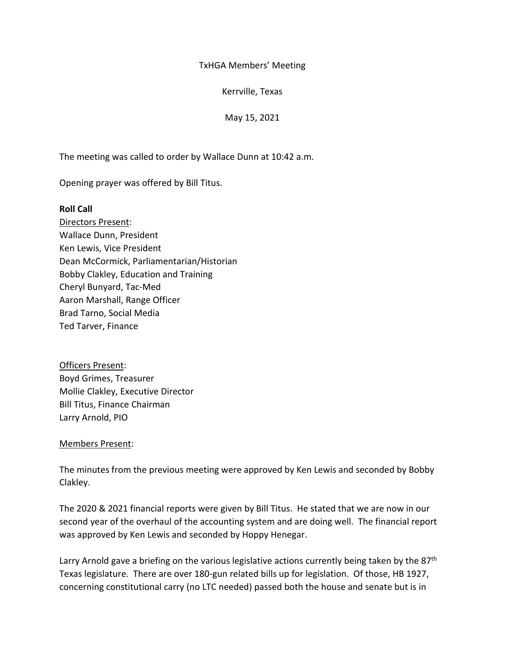TxHGA Members' Meeting

Kerrville, Texas

May 15, 2021

The meeting was called to order by Wallace Dunn at 10:42 a.m.

Opening prayer was offered by Bill Titus.

## **Roll Call**

Directors Present: Wallace Dunn, President Ken Lewis, Vice President Dean McCormick, Parliamentarian/Historian Bobby Clakley, Education and Training Cheryl Bunyard, Tac-Med Aaron Marshall, Range Officer Brad Tarno, Social Media Ted Tarver, Finance

Officers Present: Boyd Grimes, Treasurer Mollie Clakley, Executive Director Bill Titus, Finance Chairman Larry Arnold, PIO

## Members Present:

The minutes from the previous meeting were approved by Ken Lewis and seconded by Bobby Clakley.

The 2020 & 2021 financial reports were given by Bill Titus. He stated that we are now in our second year of the overhaul of the accounting system and are doing well. The financial report was approved by Ken Lewis and seconded by Hoppy Henegar.

Larry Arnold gave a briefing on the various legislative actions currently being taken by the 87<sup>th</sup> Texas legislature. There are over 180-gun related bills up for legislation. Of those, HB 1927, concerning constitutional carry (no LTC needed) passed both the house and senate but is in